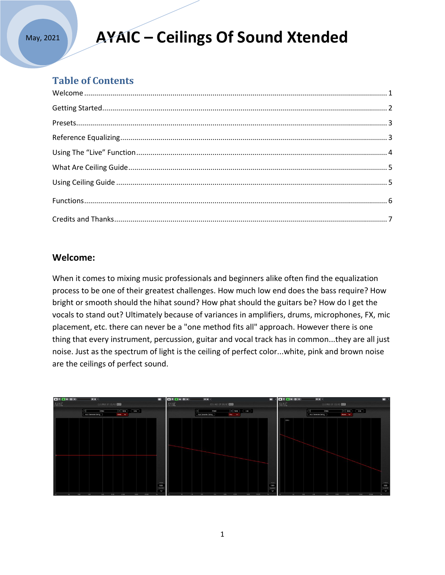# **AYAIC – Ceilings Of Sound Xtended**

### **Table of Contents**

### **Welcome:**

When it comes to mixing music professionals and beginners alike often find the equalization process to be one of their greatest challenges. How much low end does the bass require? How bright or smooth should the hihat sound? How phat should the guitars be? How do I get the vocals to stand out? Ultimately because of variances in amplifiers, drums, microphones, FX, mic placement, etc. there can never be a "one method fits all" approach. However there is one thing that every instrument, percussion, guitar and vocal track has in common...they are all just noise. Just as the spectrum of light is the ceiling of perfect color...white, pink and brown noise are the ceilings of perfect sound.

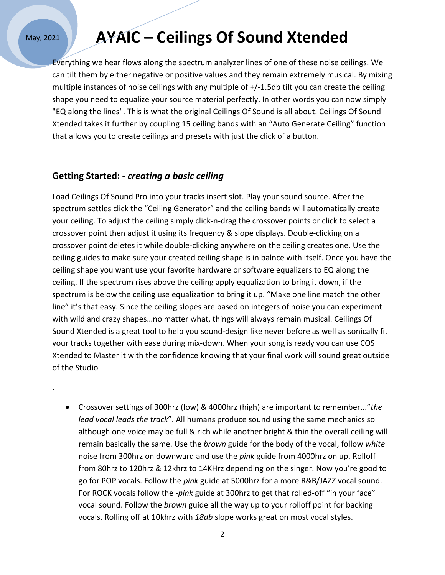.

# **AYAIC – Ceilings Of Sound Xtended**

Everything we hear flows along the spectrum analyzer lines of one of these noise ceilings. We can tilt them by either negative or positive values and they remain extremely musical. By mixing multiple instances of noise ceilings with any multiple of +/-1.5db tilt you can create the ceiling shape you need to equalize your source material perfectly. In other words you can now simply "EQ along the lines". This is what the original Ceilings Of Sound is all about. Ceilings Of Sound Xtended takes it further by coupling 15 ceiling bands with an "Auto Generate Ceiling" function that allows you to create ceilings and presets with just the click of a button.

### **Getting Started: -** *creating a basic ceiling*

Load Ceilings Of Sound Pro into your tracks insert slot. Play your sound source. After the spectrum settles click the "Ceiling Generator" and the ceiling bands will automatically create your ceiling. To adjust the ceiling simply click-n-drag the crossover points or click to select a crossover point then adjust it using its frequency & slope displays. Double-clicking on a crossover point deletes it while double-clicking anywhere on the ceiling creates one. Use the ceiling guides to make sure your created ceiling shape is in balnce with itself. Once you have the ceiling shape you want use your favorite hardware or software equalizers to EQ along the ceiling. If the spectrum rises above the ceiling apply equalization to bring it down, if the spectrum is below the ceiling use equalization to bring it up. "Make one line match the other line" it's that easy. Since the ceiling slopes are based on integers of noise you can experiment with wild and crazy shapes…no matter what, things will always remain musical. Ceilings Of Sound Xtended is a great tool to help you sound-design like never before as well as sonically fit your tracks together with ease during mix-down. When your song is ready you can use COS Xtended to Master it with the confidence knowing that your final work will sound great outside of the Studio

 Crossover settings of 300hrz (low) & 4000hrz (high) are important to remember..."*the lead vocal leads the track*". All humans produce sound using the same mechanics so although one voice may be full & rich while another bright & thin the overall ceiling will remain basically the same. Use the *brown* guide for the body of the vocal, follow *white* noise from 300hrz on downward and use the *pink* guide from 4000hrz on up. Rolloff from 80hrz to 120hrz & 12khrz to 14KHrz depending on the singer. Now you're good to go for POP vocals. Follow the *pink* guide at 5000hrz for a more R&B/JAZZ vocal sound. For ROCK vocals follow the -*pink* guide at 300hrz to get that rolled-off "in your face" vocal sound. Follow the *brown* guide all the way up to your rolloff point for backing vocals. Rolling off at 10khrz with *18db* slope works great on most vocal styles.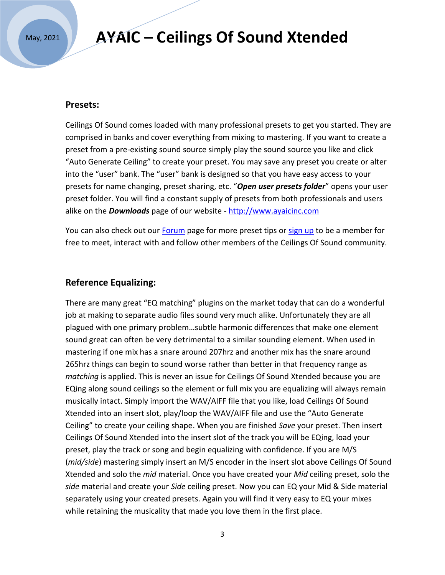### **AYAIC – Ceilings Of Sound Xtended**

#### **Presets:**

Ceilings Of Sound comes loaded with many professional presets to get you started. They are comprised in banks and cover everything from mixing to mastering. If you want to create a preset from a pre-existing sound source simply play the sound source you like and click "Auto Generate Ceiling" to create your preset. You may save any preset you create or alter into the "user" bank. The "user" bank is designed so that you have easy access to your presets for name changing, preset sharing, etc. "*Open user presets folder*" opens your user preset folder. You will find a constant supply of presets from both professionals and users alike on the *Downloads* page of our website - [http://www.ayaicinc.com](http://www.ayaicinc.com/)

You can also check out our [Forum](https://www.ayaicinc.com/forum/equalizing-discussions) page for more preset tips or [sign up](http://www.ayaicinc.com/members-1) to be a member for free to meet, interact with and follow other members of the Ceilings Of Sound community.

#### **Reference Equalizing:**

There are many great "EQ matching" plugins on the market today that can do a wonderful job at making to separate audio files sound very much alike. Unfortunately they are all plagued with one primary problem…subtle harmonic differences that make one element sound great can often be very detrimental to a similar sounding element. When used in mastering if one mix has a snare around 207hrz and another mix has the snare around 265hrz things can begin to sound worse rather than better in that frequency range as *matching* is applied. This is never an issue for Ceilings Of Sound Xtended because you are EQing along sound ceilings so the element or full mix you are equalizing will always remain musically intact. Simply import the WAV/AIFF file that you like, load Ceilings Of Sound Xtended into an insert slot, play/loop the WAV/AIFF file and use the "Auto Generate Ceiling" to create your ceiling shape. When you are finished *Save* your preset. Then insert Ceilings Of Sound Xtended into the insert slot of the track you will be EQing, load your preset, play the track or song and begin equalizing with confidence. If you are M/S (*mid/side*) mastering simply insert an M/S encoder in the insert slot above Ceilings Of Sound Xtended and solo the *mid* material. Once you have created your *Mid* ceiling preset, solo the *side* material and create your *Side* ceiling preset. Now you can EQ your Mid & Side material separately using your created presets. Again you will find it very easy to EQ your mixes while retaining the musicality that made you love them in the first place.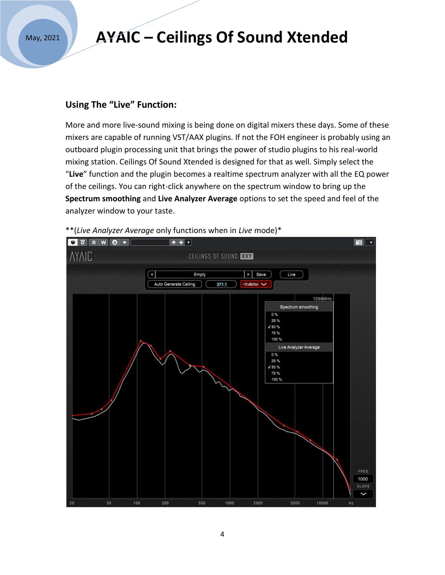## **AYAIC – Ceilings Of Sound Xtended**

### **Using The "Live" Function:**

More and more live-sound mixing is being done on digital mixers these days. Some of these mixers are capable of running VST/AAX plugins. If not the FOH engineer is probably using an outboard plugin processing unit that brings the power of studio plugins to his real-world mixing station. Ceilings Of Sound Xtended is designed for that as well. Simply select the "**Live**" function and the plugin becomes a realtime spectrum analyzer with all the EQ power of the ceilings. You can right-click anywhere on the spectrum window to bring up the **Spectrum smoothing** and **Live Analyzer Average** options to set the speed and feel of the analyzer window to your taste.



\*\*(*Live Analyzer Average* only functions when in *Live* mode)\*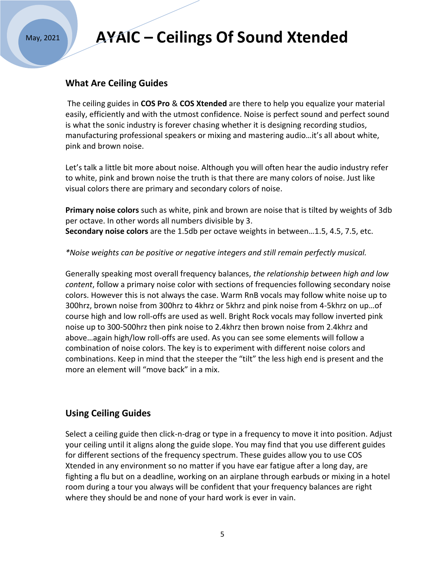# **AYAIC – Ceilings Of Sound Xtended**

#### **What Are Ceiling Guides**

The ceiling guides in **COS Pro** & **COS Xtended** are there to help you equalize your material easily, efficiently and with the utmost confidence. Noise is perfect sound and perfect sound is what the sonic industry is forever chasing whether it is designing recording studios, manufacturing professional speakers or mixing and mastering audio…it's all about white, pink and brown noise.

Let's talk a little bit more about noise. Although you will often hear the audio industry refer to white, pink and brown noise the truth is that there are many colors of noise. Just like visual colors there are primary and secondary colors of noise.

**Primary noise colors** such as white, pink and brown are noise that is tilted by weights of 3db per octave. In other words all numbers divisible by 3. **Secondary noise colors** are the 1.5db per octave weights in between…1.5, 4.5, 7.5, etc.

*\*Noise weights can be positive or negative integers and still remain perfectly musical.* 

Generally speaking most overall frequency balances, *the relationship between high and low content*, follow a primary noise color with sections of frequencies following secondary noise colors. However this is not always the case. Warm RnB vocals may follow white noise up to 300hrz, brown noise from 300hrz to 4khrz or 5khrz and pink noise from 4-5khrz on up…of course high and low roll-offs are used as well. Bright Rock vocals may follow inverted pink noise up to 300-500hrz then pink noise to 2.4khrz then brown noise from 2.4khrz and above…again high/low roll-offs are used. As you can see some elements will follow a combination of noise colors. The key is to experiment with different noise colors and combinations. Keep in mind that the steeper the "tilt" the less high end is present and the more an element will "move back" in a mix.

### **Using Ceiling Guides**

Select a ceiling guide then click-n-drag or type in a frequency to move it into position. Adjust your ceiling until it aligns along the guide slope. You may find that you use different guides for different sections of the frequency spectrum. These guides allow you to use COS Xtended in any environment so no matter if you have ear fatigue after a long day, are fighting a flu but on a deadline, working on an airplane through earbuds or mixing in a hotel room during a tour you always will be confident that your frequency balances are right where they should be and none of your hard work is ever in vain.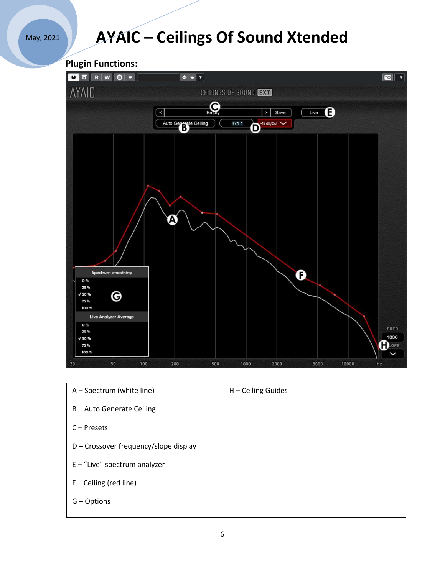# **AYAIC – Ceilings Of Sound Xtended**

**Plugin Functions:**



- A Spectrum (white line) H Ceiling Guides
- 

- B Auto Generate Ceiling
- C Presets
- D Crossover frequency/slope display
- E "Live" spectrum analyzer
- F Ceiling (red line)
- G Options